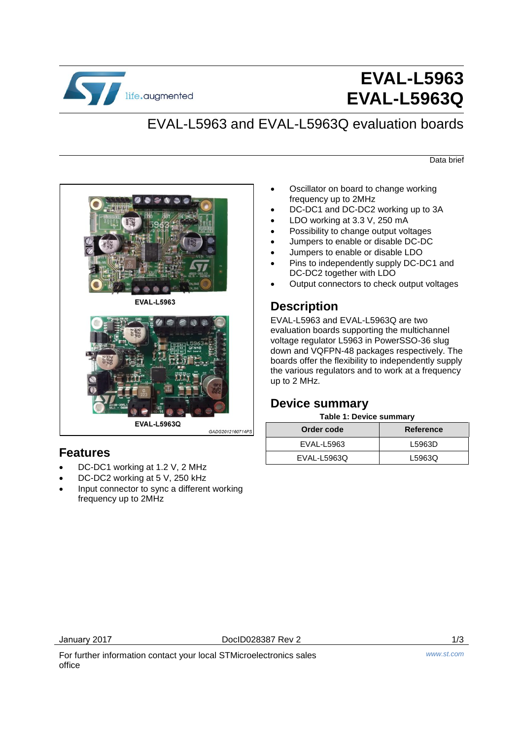

# **EVAL-L5963 EVAL-L5963Q**

## EVAL-L5963 and EVAL-L5963Q evaluation boards

Data brief





GADG2012160714PS

### **Features**

- DC-DC1 working at 1.2 V, 2 MHz
- DC-DC2 working at 5 V, 250 kHz
- Input connector to sync a different working frequency up to 2MHz
- Oscillator on board to change working frequency up to 2MHz
- DC-DC1 and DC-DC2 working up to 3A
- LDO working at 3.3 V, 250 mA
- Possibility to change output voltages
- Jumpers to enable or disable DC-DC
- Jumpers to enable or disable LDO
- Pins to independently supply DC-DC1 and DC-DC2 together with LDO
- Output connectors to check output voltages

## **Description**

EVAL-L5963 and EVAL-L5963Q are two evaluation boards supporting the multichannel voltage regulator L5963 in PowerSSO-36 slug down and VQFPN-48 packages respectively. The boards offer the flexibility to independently supply the various regulators and to work at a frequency up to 2 MHz.

### **Device summary**

#### **Table 1: Device summary**

| Order code  | <b>Reference</b> |
|-------------|------------------|
| EVAL-L5963  | L5963D           |
| EVAL-L5963Q | L5963Q           |

For further information contact your local STMicroelectronics sales office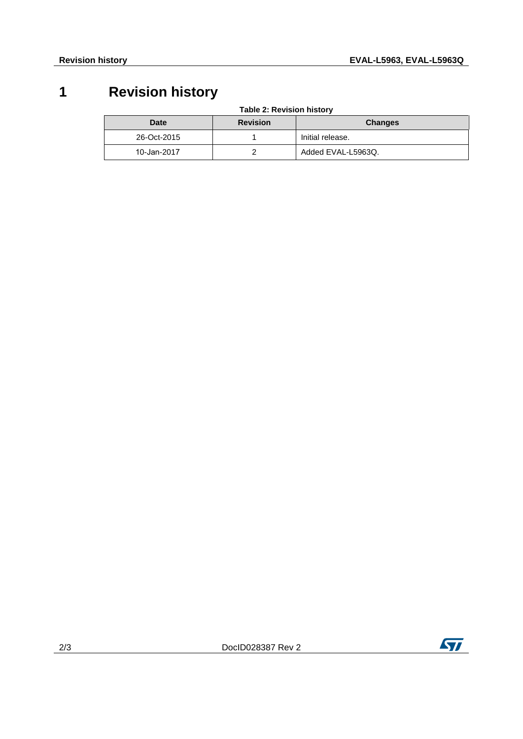## **1 Revision history**

**Table 2: Revision history** 

| <b>Date</b> | <b>Revision</b> | <b>Changes</b>     |
|-------------|-----------------|--------------------|
| 26-Oct-2015 |                 | Initial release.   |
| 10-Jan-2017 |                 | Added EVAL-L5963Q. |



2/3 DocID028387 Rev 2